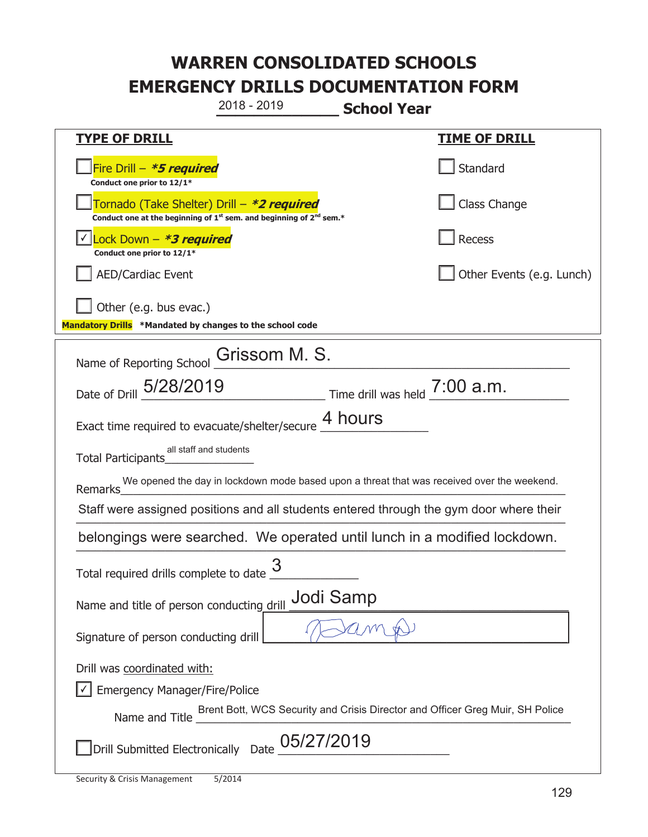**\_\_\_\_\_\_\_\_\_\_\_\_\_ School Year TYPE OF DRILL TIME OF DRILL**  侊Fire Drill – **\*5 required Conduct one prior to 12/1\* Standard** 侊Tornado (Take Shelter) Drill – **\*2 required Conduct one at the beginning of 1<sup>st</sup> sem. and beginning of 2<sup>nd</sup> sem.\*** Class Change 侊Lock Down – **\*3 required** ✔ **Conduct one prior to 12/1\* Recess** AED/Cardiac Event **AED/Cardiac Event Network Network Network Network Network Network Network Network Network Network Network Network Network Network Network Network Network Network Net** Other (e.g. bus evac.) **Mandatory Drills \*Mandated by changes to the school code**  Name of Reporting School **Grissom M. S.** Date of Drill  $\frac{5/28/2019}{2}$  Time drill was held  $\frac{7:00 \text{ a.m.}}{2}$ Exact time required to evacuate/shelter/secure  $\frac{4 \text{ hours}}{4 \text{ hours}}$ Total Participants\_\_\_\_\_\_\_\_\_\_\_\_\_\_ Remarks\_\_\_\_\_\_\_\_\_\_\_\_\_\_\_\_\_\_\_\_\_\_\_\_\_\_\_\_\_\_\_\_\_\_\_\_\_\_\_\_\_\_\_\_\_\_\_\_\_\_\_\_\_\_\_\_\_\_\_\_\_\_\_\_\_\_\_\_\_\_ We opened the day in lockdown mode based upon a threat that was received over the weekend. Staff were assigned positions and all students entered through the gym door where their belongings were searched. We operated until lunch in a modified lockdown. Total required drills complete to date  $\frac{3}{2}$ Name and title of person conducting drill **Jodi Samp** Signature of person conducting drill Drill was coordinated with: ܆ Emergency Manager/Fire/Police Name and Title Brent Bott, WCS Security and Crisis Director and Officer Greg Muir, SH Police  $\square$ Drill Submitted Electronically Date  $\underline{\text{05/27/2019}}$ 2018 - 2019 all staff and students  $|\vee|$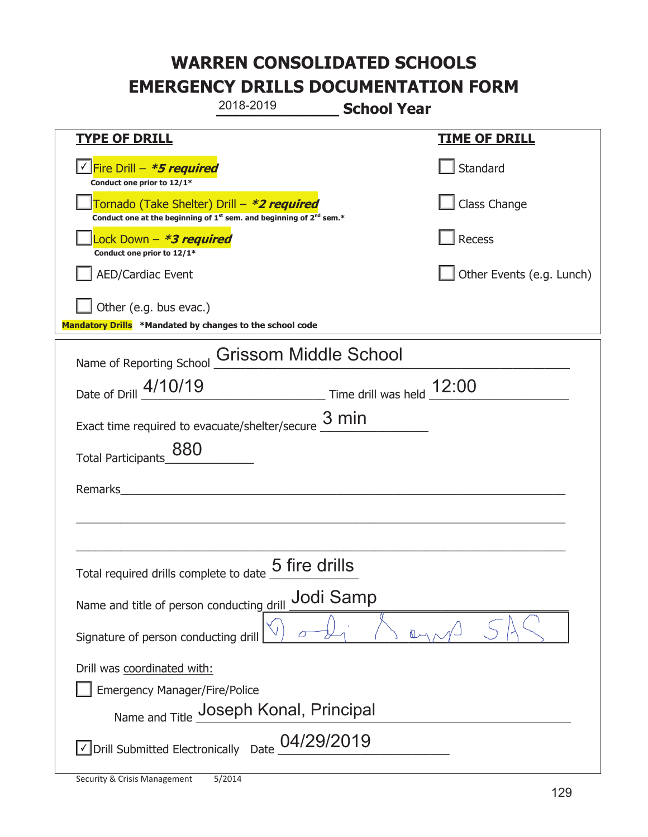|                                                                                            | 2018-2019                                                                                                                                                                                                                                                                                                                         | <b>School Year</b> |                           |
|--------------------------------------------------------------------------------------------|-----------------------------------------------------------------------------------------------------------------------------------------------------------------------------------------------------------------------------------------------------------------------------------------------------------------------------------|--------------------|---------------------------|
| <b>TYPE OF DRILL</b>                                                                       |                                                                                                                                                                                                                                                                                                                                   |                    | <b>TIME OF DRILL</b>      |
| <u>√ <mark>Fire Drill – <i>*<b>5 required</b></i></mark></u><br>Conduct one prior to 12/1* |                                                                                                                                                                                                                                                                                                                                   |                    | Standard                  |
| Tornado (Take Shelter) Drill – *2 required                                                 | Conduct one at the beginning of 1 <sup>st</sup> sem. and beginning of 2 <sup>nd</sup> sem.*                                                                                                                                                                                                                                       |                    | Class Change              |
| Lock Down - <b>*3 required</b><br>Conduct one prior to 12/1*                               |                                                                                                                                                                                                                                                                                                                                   |                    | <b>Recess</b>             |
| <b>AED/Cardiac Event</b>                                                                   |                                                                                                                                                                                                                                                                                                                                   |                    | Other Events (e.g. Lunch) |
| Other (e.g. bus evac.)<br>Mandatory Drills *Mandated by changes to the school code         |                                                                                                                                                                                                                                                                                                                                   |                    |                           |
| Name of Reporting School                                                                   | <b>Grissom Middle School</b>                                                                                                                                                                                                                                                                                                      |                    |                           |
| Date of Drill 4/10/19                                                                      | $\frac{12:00}{\frac{12:00}{\frac{12:00}{\frac{12:00}{\frac{12:00}{\frac{12:00}{\frac{12:00}{\frac{12:00}{\frac{12:00}{\frac{12:00}{\frac{12:00}{\frac{12:00}{\frac{12:00}{\frac{12:00}{\frac{12:00}{\frac{12:00}{\frac{12:00}{\frac{12:00}{\frac{12:00}{\frac{12:00}{\frac{12:00}{\frac{12:00}{\frac{12:00}{\frac{12:00}{\frac{1$ |                    |                           |
| Exact time required to evacuate/shelter/secure $\frac{3 \text{ min}}{2}$                   |                                                                                                                                                                                                                                                                                                                                   |                    |                           |
| 880<br>Total Participants_                                                                 |                                                                                                                                                                                                                                                                                                                                   |                    |                           |
| Remarks                                                                                    | <u>and the state of the state of the state of the state of the state of the state of the state of the state of the state of the state of the state of the state of the state of the state of the state of the state of the state</u>                                                                                              |                    |                           |
|                                                                                            |                                                                                                                                                                                                                                                                                                                                   |                    |                           |
| Total required drills complete to date                                                     | 5 fire drills                                                                                                                                                                                                                                                                                                                     |                    |                           |
| Name and title of person conducting drill                                                  | Jodi Samp                                                                                                                                                                                                                                                                                                                         |                    |                           |
| Signature of person conducting drill                                                       |                                                                                                                                                                                                                                                                                                                                   |                    |                           |
| Drill was coordinated with:<br><b>Emergency Manager/Fire/Police</b>                        | Name and Title Joseph Konal, Principal                                                                                                                                                                                                                                                                                            |                    |                           |
| $\vee$ Drill Submitted Electronically Date $\frac{\rm 04/29/2019}$                         |                                                                                                                                                                                                                                                                                                                                   |                    |                           |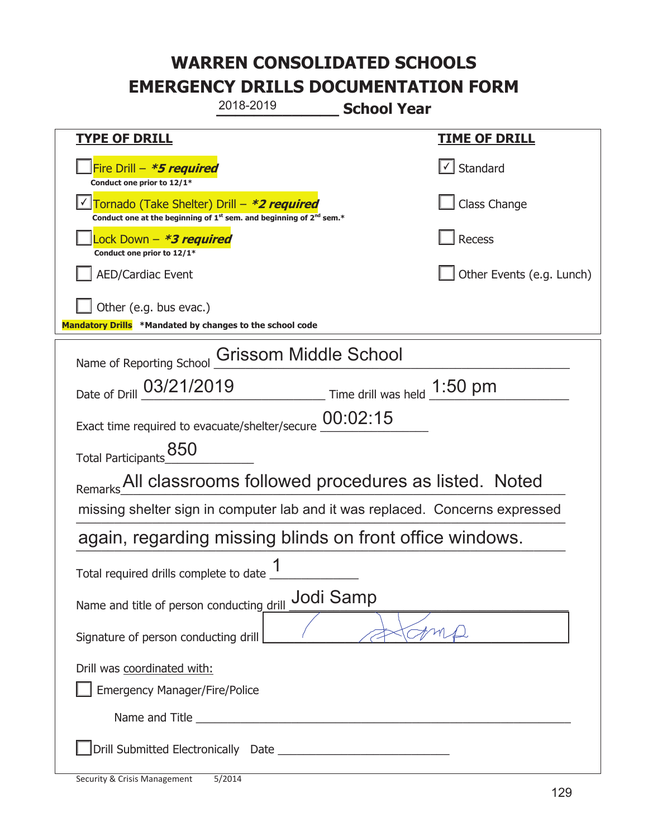|                                                                                    | 2018-2019                                                                                                                                 | <b>School Year</b>            |                                                                              |
|------------------------------------------------------------------------------------|-------------------------------------------------------------------------------------------------------------------------------------------|-------------------------------|------------------------------------------------------------------------------|
| <u>TYPE OF DRILL</u>                                                               |                                                                                                                                           |                               | <b>TIME OF DRILL</b>                                                         |
| Fire Drill - *5 required<br>Conduct one prior to 12/1*                             |                                                                                                                                           |                               | Standard                                                                     |
|                                                                                    | Tornado (Take Shelter) Drill – *2 required<br>Conduct one at the beginning of 1 <sup>st</sup> sem. and beginning of 2 <sup>nd</sup> sem.* |                               | Class Change                                                                 |
| ock Down – <b>*3 required</b><br>Conduct one prior to 12/1*                        |                                                                                                                                           |                               | Recess                                                                       |
| <b>AED/Cardiac Event</b>                                                           |                                                                                                                                           |                               | Other Events (e.g. Lunch)                                                    |
| Other (e.g. bus evac.)<br>Mandatory Drills *Mandated by changes to the school code |                                                                                                                                           |                               |                                                                              |
| Name of Reporting School                                                           | Grissom Middle School                                                                                                                     |                               |                                                                              |
| Date of Drill 03/21/2019                                                           |                                                                                                                                           | Time drill was held $1:50$ pm |                                                                              |
| Exact time required to evacuate/shelter/secure                                     |                                                                                                                                           | 00:02:15                      |                                                                              |
| 850<br>Total Participants                                                          |                                                                                                                                           |                               |                                                                              |
| Remarks All classrooms followed procedures as listed. Noted                        |                                                                                                                                           |                               |                                                                              |
|                                                                                    |                                                                                                                                           |                               | missing shelter sign in computer lab and it was replaced. Concerns expressed |
| again, regarding missing blinds on front office windows.                           |                                                                                                                                           |                               |                                                                              |
| Total required drills complete to date _1                                          |                                                                                                                                           |                               |                                                                              |
| Name and title of person conducting drill                                          |                                                                                                                                           | Jodi Samp                     |                                                                              |
| Signature of person conducting drill                                               |                                                                                                                                           |                               |                                                                              |
| Drill was coordinated with:<br><b>Emergency Manager/Fire/Police</b>                |                                                                                                                                           |                               |                                                                              |
|                                                                                    |                                                                                                                                           |                               |                                                                              |
|                                                                                    |                                                                                                                                           |                               |                                                                              |

t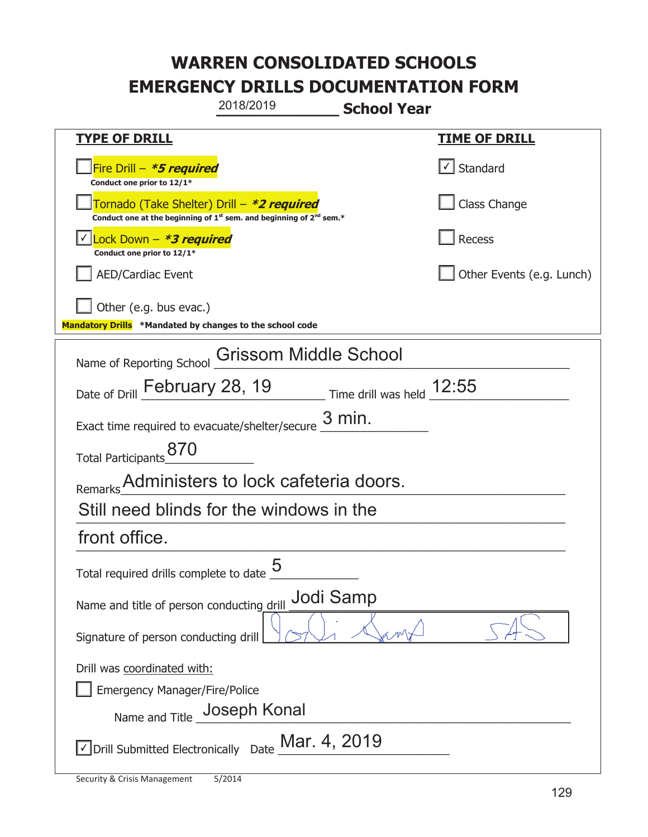|                                                                                                                                           | 2018/2019             | <b>School Year</b>          |                           |
|-------------------------------------------------------------------------------------------------------------------------------------------|-----------------------|-----------------------------|---------------------------|
| <b>TYPE OF DRILL</b>                                                                                                                      |                       |                             | <u>TIME OF DRILL</u>      |
| Fire Drill - *5 required<br>Conduct one prior to 12/1*                                                                                    |                       |                             | $\cup$ Standard           |
| Tornado (Take Shelter) Drill – *2 required<br>Conduct one at the beginning of 1 <sup>st</sup> sem. and beginning of 2 <sup>nd</sup> sem.* |                       |                             | Class Change              |
| Lock Down - <b>*3 required</b><br>Conduct one prior to 12/1*                                                                              |                       |                             | Recess                    |
| <b>AED/Cardiac Event</b>                                                                                                                  |                       |                             | Other Events (e.g. Lunch) |
| Other (e.g. bus evac.)<br>Mandatory Drills *Mandated by changes to the school code                                                        |                       |                             |                           |
| Name of Reporting School                                                                                                                  | Grissom Middle School |                             |                           |
| Date of Drill February 28, 19                                                                                                             |                       | Time drill was held $12:55$ |                           |
| Exact time required to evacuate/shelter/secure                                                                                            |                       | $3$ min.                    |                           |
| Total Participants_870                                                                                                                    |                       |                             |                           |
| Remarks Administers to lock cafeteria doors.                                                                                              |                       |                             |                           |
| Still need blinds for the windows in the                                                                                                  |                       |                             |                           |
| front office.                                                                                                                             |                       |                             |                           |
| Total required drills complete to date $\frac{5}{5}$                                                                                      |                       |                             |                           |
| Name and title of person conducting drill                                                                                                 |                       | Jodi Samp                   |                           |
| Signature of person conducting drill                                                                                                      |                       |                             |                           |
| Drill was coordinated with:                                                                                                               |                       |                             |                           |
| <b>Emergency Manager/Fire/Police</b><br>Name and Title _Joseph Konal                                                                      |                       |                             |                           |
|                                                                                                                                           |                       |                             |                           |
| $\sqrt{}$ Drill Submitted Electronically Date $\underline{\mathsf{M}}$ ar. 4, 2019                                                        |                       |                             |                           |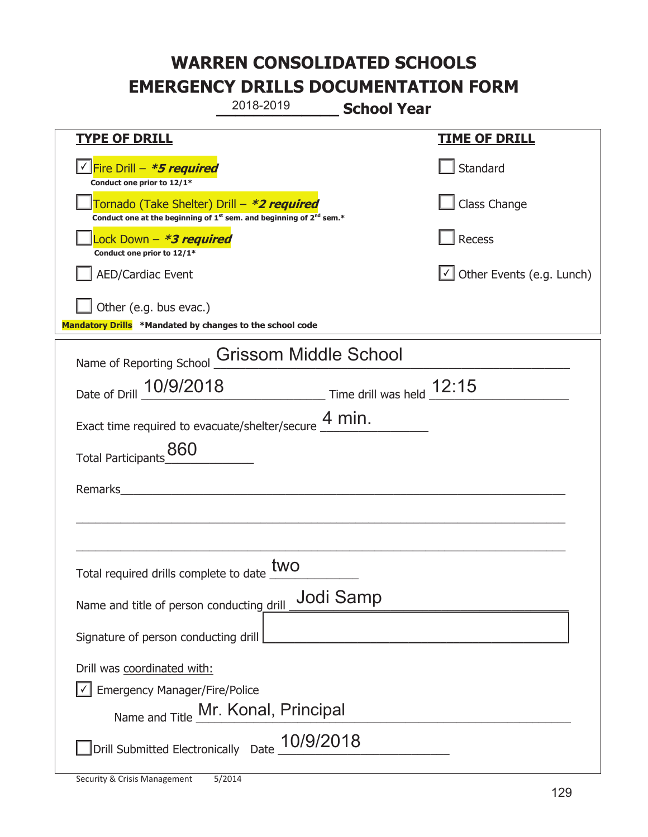|                                                                                                                                           | 2018-2019                                               | <b>School Year</b> |                                  |
|-------------------------------------------------------------------------------------------------------------------------------------------|---------------------------------------------------------|--------------------|----------------------------------|
| <b>TYPE OF DRILL</b>                                                                                                                      |                                                         |                    | <b>TIME OF DRILL</b>             |
| Fire Drill - *5 required<br>Conduct one prior to 12/1*                                                                                    |                                                         |                    | Standard                         |
| Tornado (Take Shelter) Drill – *2 required<br>Conduct one at the beginning of 1 <sup>st</sup> sem. and beginning of 2 <sup>nd</sup> sem.* |                                                         |                    | Class Change                     |
| Lock Down - *3 required<br>Conduct one prior to 12/1*                                                                                     |                                                         |                    | Recess                           |
| <b>AED/Cardiac Event</b>                                                                                                                  |                                                         |                    | $\cup$ Other Events (e.g. Lunch) |
| Other (e.g. bus evac.)<br>Mandatory Drills *Mandated by changes to the school code                                                        |                                                         |                    |                                  |
| Name of Reporting School <b>Grissom Middle School</b>                                                                                     |                                                         |                    |                                  |
| Date of Drill 10/9/2018                                                                                                                   | $\frac{12:15}{ }$ Time drill was held $\frac{12:15}{ }$ |                    |                                  |
| Exact time required to evacuate/shelter/secure $\frac{4 \text{ min}}{4}$ .                                                                |                                                         |                    |                                  |
| 860<br><b>Total Participants</b>                                                                                                          |                                                         |                    |                                  |
| Remarks                                                                                                                                   | <u> 1980 - Jan Barbara Barbara, manazarta da </u>       |                    |                                  |
|                                                                                                                                           |                                                         |                    |                                  |
|                                                                                                                                           |                                                         |                    |                                  |
| Total required drills complete to date LW                                                                                                 | two                                                     |                    |                                  |
| Name and title of person conducting drill                                                                                                 |                                                         | Jodi Samp          |                                  |
| Signature of person conducting drill                                                                                                      |                                                         |                    |                                  |
| Drill was coordinated with:                                                                                                               |                                                         |                    |                                  |
| <b>Emergency Manager/Fire/Police</b>                                                                                                      |                                                         |                    |                                  |
| Name and Title Mr. Konal, Principal                                                                                                       |                                                         |                    |                                  |
| Drill Submitted Electronically Date 10/9/2018                                                                                             |                                                         |                    |                                  |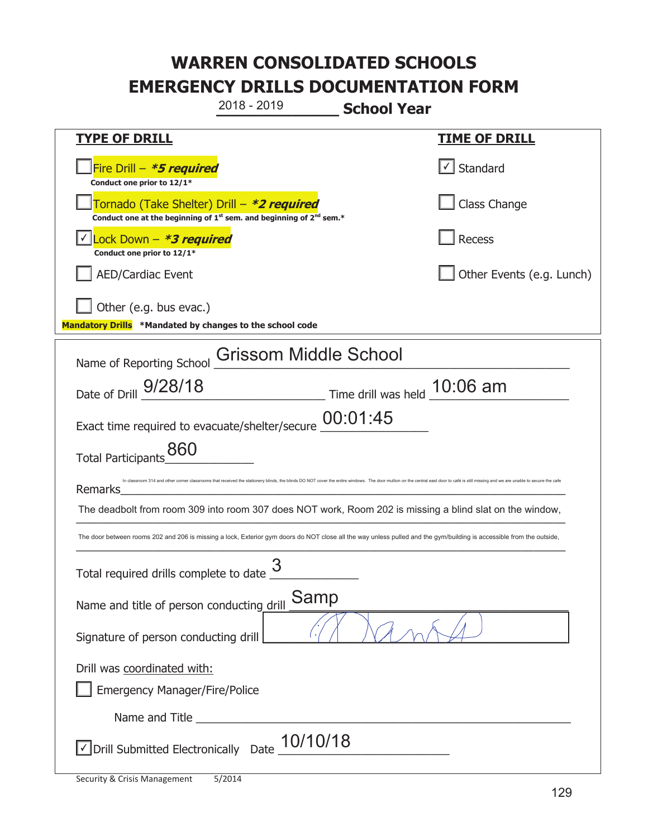**\_\_\_\_\_\_\_\_\_\_\_\_\_ School Year TYPE OF DRILL TIME OF DRILL**  侊Fire Drill – **\*5 required Conduct one prior to 12/1\***   $\boxed{\checkmark}$  Standard 侊Tornado (Take Shelter) Drill – **\*2 required Conduct one at the beginning of 1<sup>st</sup> sem. and beginning of 2<sup>nd</sup> sem.\*** Class Change 侊Lock Down – **\*3 required** ✔ **Conduct one prior to 12/1\* Recess** AED/Cardiac Event **AED/Cardiac Event Network Network Network Network Network Network Network Network Network Network Network Network Network Network Network Network Network Network Net** Other (e.g. bus evac.) **Mandatory Drills \*Mandated by changes to the school code**  Name of Reporting School Grissom Middle School Date of Drill \_\_\_\_\_\_\_\_\_\_\_\_\_\_\_\_\_\_\_\_\_\_\_\_\_\_\_\_\_ Time drill was held \_\_\_\_\_\_\_\_\_\_\_\_\_\_\_\_\_\_\_\_\_\_ 9/28/18 10:06 am Exact time required to evacuate/shelter/secure  $\underline{\text{00:}}01:45$ Total Participants 860 Remarks\_\_\_\_\_\_\_\_\_\_\_\_\_\_\_\_\_\_\_\_\_\_\_\_\_\_\_\_\_\_\_\_\_\_\_\_\_\_\_\_\_\_\_\_\_\_\_\_\_\_\_\_\_\_\_\_\_\_\_\_\_\_\_\_\_\_\_\_\_\_ The deadbolt from room 309 into room 307 does NOT work, Room 202 is missing a blind slat on the window,  $\mathcal{L}_\text{max}$  and  $\mathcal{L}_\text{max}$  and  $\mathcal{L}_\text{max}$  and  $\mathcal{L}_\text{max}$  and  $\mathcal{L}_\text{max}$  and  $\mathcal{L}_\text{max}$ Total required drills complete to date  $\frac{3}{2}$ Name and title of person conducting drill **Samp** Signature of person conducting drill Drill was coordinated with: ܆ Emergency Manager/Fire/Police Name and Title **Latter and Structure**  $\sqrt{2}$  Drill Submitted Electronically Date  $\frac{10/10/18}{2}$ 2018 - 2019 om 314 and other corner classrooms that received the stationery blinds, the blinds DO NOT cover the entire windows. The door mullion on the central east door to café is still missing and we are unable to secure the ca The door between rooms 202 and 206 is missing a lock, Exterior gym doors do NOT close all the way unless pulled and the gym/building is accessible from the outside,